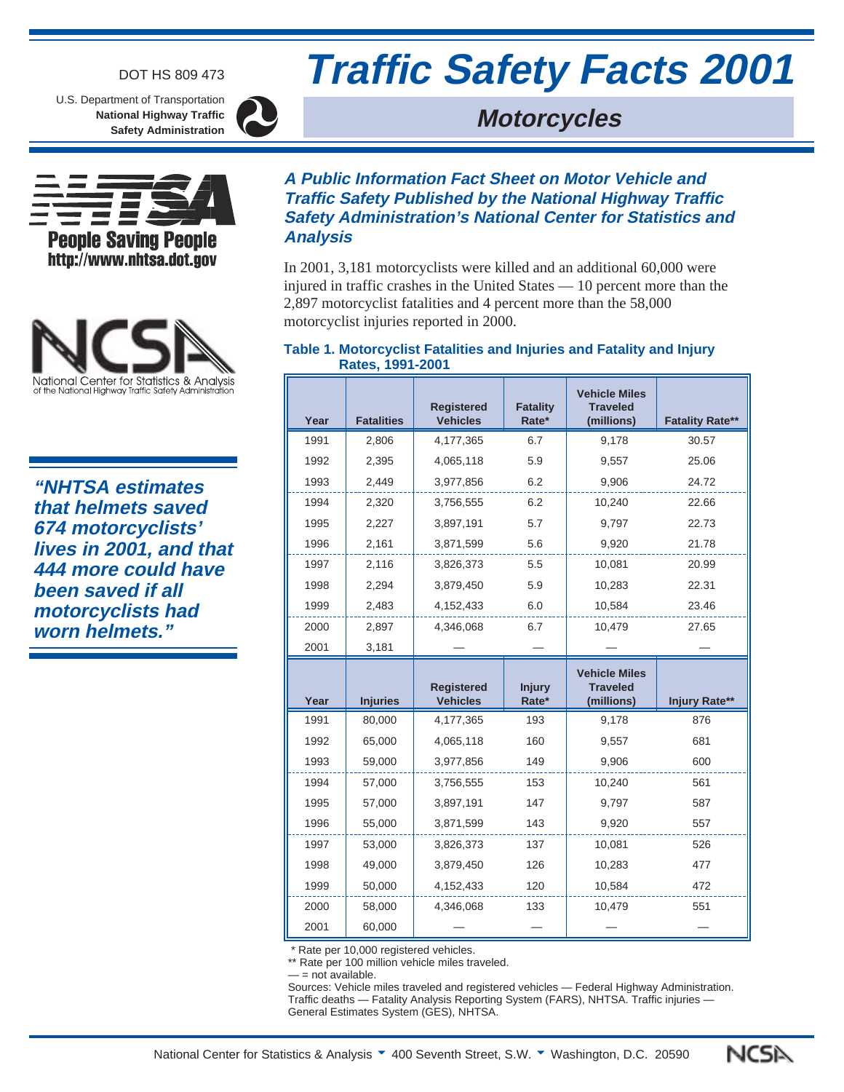### DOT HS 809 473

U.S. Department of Transportation **National Highway Traffic Safety Administration**



**Analysis**





**"NHTSA estimates that helmets saved 674 motorcyclists' lives in 2001, and that 444 more could have been saved if all motorcyclists had worn helmets."**

# **A Public Information Fact Sheet on Motor Vehicle and Traffic Safety Published by the National Highway Traffic Safety Administration's National Center for Statistics and**

In 2001, 3,181 motorcyclists were killed and an additional 60,000 were injured in traffic crashes in the United States — 10 percent more than the 2,897 motorcyclist fatalities and 4 percent more than the 58,000

motorcyclist injuries reported in 2000.

#### **Table 1. Motorcyclist Fatalities and Injuries and Fatality and Injury Rates, 1991-2001**

| Year | <b>Fatalities</b> | <b>Registered</b><br><b>Vehicles</b> | <b>Fatality</b><br>Rate* | <b>Vehicle Miles</b><br><b>Traveled</b><br>(millions) | <b>Fatality Rate**</b> |
|------|-------------------|--------------------------------------|--------------------------|-------------------------------------------------------|------------------------|
| 1991 | 2,806             | 4,177,365                            | 6.7                      | 9,178                                                 | 30.57                  |
| 1992 | 2,395             | 4,065,118                            | 5.9                      | 9,557                                                 | 25.06                  |
| 1993 | 2,449             | 3,977,856                            | 6.2                      | 9,906                                                 | 24.72                  |
| 1994 | 2,320             | 3,756,555                            | 6.2                      | 10,240                                                | 22.66                  |
| 1995 | 2,227             | 3,897,191                            | 5.7                      | 9,797                                                 | 22.73                  |
| 1996 | 2,161             | 3,871,599                            | 5.6                      | 9,920                                                 | 21.78                  |
| 1997 | 2,116             | 3,826,373                            | 5.5                      | 10,081                                                | 20.99                  |
| 1998 | 2,294             | 3,879,450                            | 5.9<br>10,283            |                                                       | 22.31                  |
| 1999 | 2,483             | 4,152,433                            | 6.0                      | 10,584                                                | 23.46                  |
| 2000 | 2,897             | 4,346,068                            | 6.7                      | 10.479                                                | 27.65                  |
| 2001 | 3,181             |                                      |                          |                                                       |                        |

| Year | <b>Injuries</b> | <b>Registered</b><br><b>Vehicles</b> | <b>Injury</b><br>Rate* | <b>Vehicle Miles</b><br><b>Traveled</b><br>(millions) | Injury Rate** |
|------|-----------------|--------------------------------------|------------------------|-------------------------------------------------------|---------------|
| 1991 | 80,000          | 4,177,365                            | 193                    | 9,178                                                 |               |
| 1992 | 65,000          | 4,065,118                            | 160                    | 9,557                                                 | 681           |
| 1993 | 59,000          | 3,977,856                            | 149<br>9,906           |                                                       | 600           |
| 1994 | 57,000          | 3,756,555                            | 153                    | 10,240                                                | 561           |
| 1995 | 57,000          | 3,897,191                            | 147                    | 9,797                                                 | 587           |
| 1996 | 55,000          | 3,871,599                            | 143                    | 9,920                                                 |               |
| 1997 | 53,000          | 3,826,373                            | 137<br>10,081          |                                                       | 526           |
| 1998 | 49.000          | 3,879,450                            | 126                    | 10,283                                                | 477           |
| 1999 | 50,000          | 4,152,433                            | 120<br>10,584          |                                                       | 472           |
| 2000 | 58.000          | 4,346,068                            | 133                    | 10,479                                                | 551           |
| 2001 | 60,000          |                                      |                        |                                                       |               |

\* Rate per 10,000 registered vehicles.

\*\* Rate per 100 million vehicle miles traveled.

- = not available.

Sources: Vehicle miles traveled and registered vehicles — Federal Highway Administration. Traffic deaths — Fatality Analysis Reporting System (FARS), NHTSA. Traffic injuries — General Estimates System (GES), NHTSA.



# **Traffic Safety Facts 2001**

# **Motorcycles**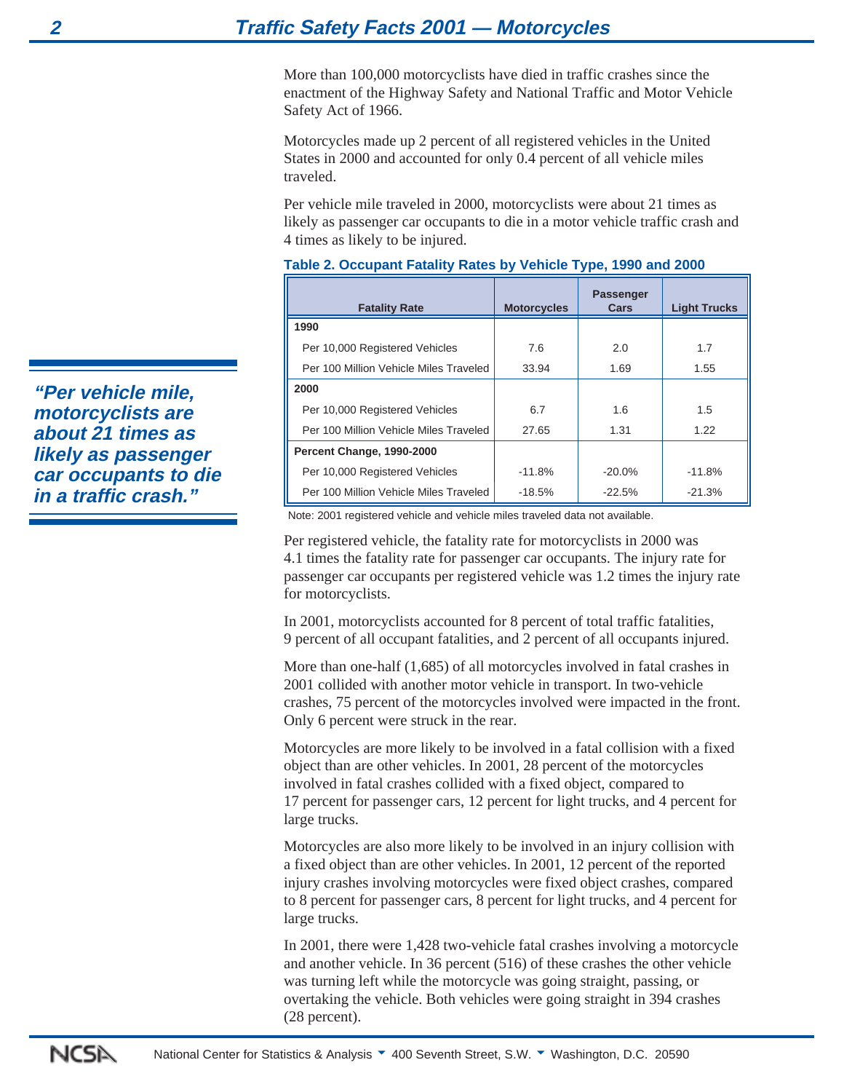More than 100,000 motorcyclists have died in traffic crashes since the enactment of the Highway Safety and National Traffic and Motor Vehicle Safety Act of 1966.

Motorcycles made up 2 percent of all registered vehicles in the United States in 2000 and accounted for only 0.4 percent of all vehicle miles traveled.

Per vehicle mile traveled in 2000, motorcyclists were about 21 times as likely as passenger car occupants to die in a motor vehicle traffic crash and 4 times as likely to be injured.

| <b>Fatality Rate</b>                   | <b>Motorcycles</b> | <b>Passenger</b><br>Cars | <b>Light Trucks</b> |
|----------------------------------------|--------------------|--------------------------|---------------------|
| 1990                                   |                    |                          |                     |
| Per 10,000 Registered Vehicles         | 7.6                | 2.0                      | 1.7                 |
| Per 100 Million Vehicle Miles Traveled | 33.94              | 1.69                     | 1.55                |
| 2000                                   |                    |                          |                     |
| Per 10,000 Registered Vehicles         | 6.7                | 1.6                      | 1.5                 |
| Per 100 Million Vehicle Miles Traveled | 27.65              | 1.31                     | 1.22                |
| Percent Change, 1990-2000              |                    |                          |                     |
| Per 10,000 Registered Vehicles         | $-11.8%$           | $-20.0\%$                | $-11.8%$            |
| Per 100 Million Vehicle Miles Traveled | $-18.5%$           | $-22.5%$                 | $-21.3%$            |

#### **Table 2. Occupant Fatality Rates by Vehicle Type, 1990 and 2000**

Note: 2001 registered vehicle and vehicle miles traveled data not available.

Per registered vehicle, the fatality rate for motorcyclists in 2000 was 4.1 times the fatality rate for passenger car occupants. The injury rate for passenger car occupants per registered vehicle was 1.2 times the injury rate for motorcyclists.

In 2001, motorcyclists accounted for 8 percent of total traffic fatalities, 9 percent of all occupant fatalities, and 2 percent of all occupants injured.

More than one-half (1,685) of all motorcycles involved in fatal crashes in 2001 collided with another motor vehicle in transport. In two-vehicle crashes, 75 percent of the motorcycles involved were impacted in the front. Only 6 percent were struck in the rear.

Motorcycles are more likely to be involved in a fatal collision with a fixed object than are other vehicles. In 2001, 28 percent of the motorcycles involved in fatal crashes collided with a fixed object, compared to 17 percent for passenger cars, 12 percent for light trucks, and 4 percent for large trucks.

Motorcycles are also more likely to be involved in an injury collision with a fixed object than are other vehicles. In 2001, 12 percent of the reported injury crashes involving motorcycles were fixed object crashes, compared to 8 percent for passenger cars, 8 percent for light trucks, and 4 percent for large trucks.

In 2001, there were 1,428 two-vehicle fatal crashes involving a motorcycle and another vehicle. In 36 percent (516) of these crashes the other vehicle was turning left while the motorcycle was going straight, passing, or overtaking the vehicle. Both vehicles were going straight in 394 crashes (28 percent).

**"Per vehicle mile, motorcyclists are about 21 times as likely as passenger car occupants to die in a traffic crash."**

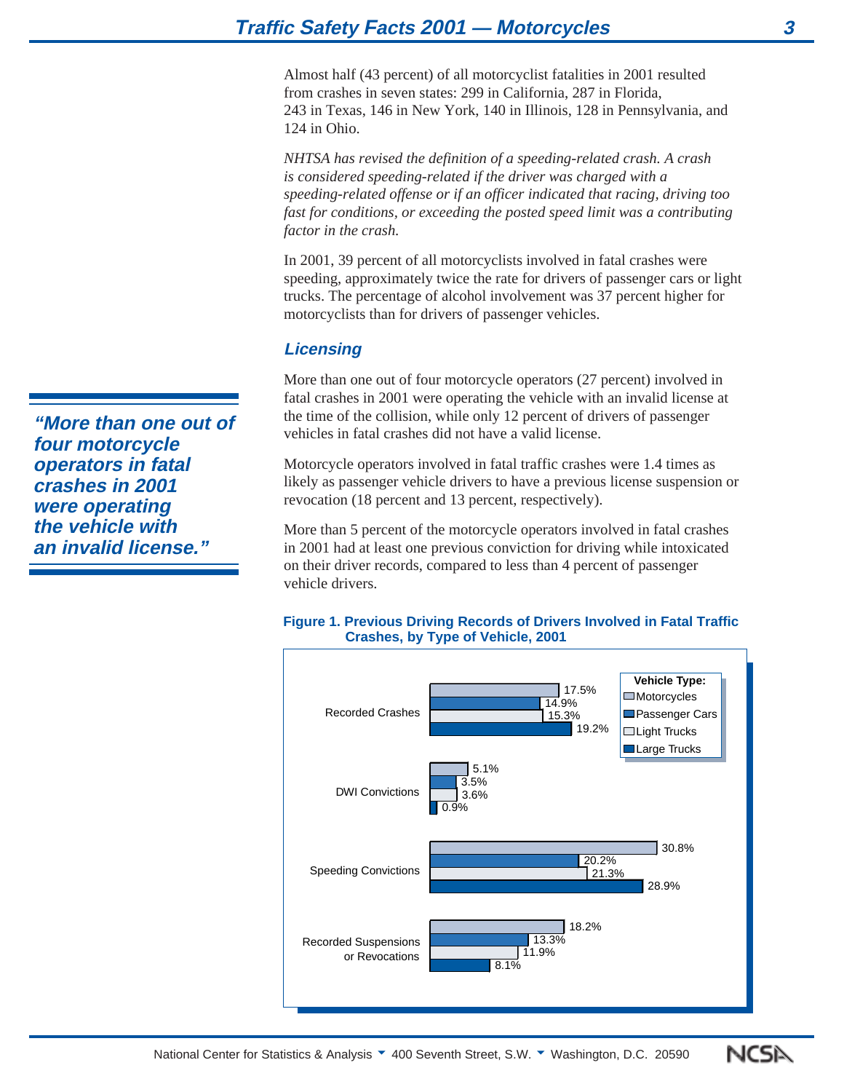Almost half (43 percent) of all motorcyclist fatalities in 2001 resulted from crashes in seven states: 299 in California, 287 in Florida, 243 in Texas, 146 in New York, 140 in Illinois, 128 in Pennsylvania, and 124 in Ohio.

*NHTSA has revised the definition of a speeding-related crash. A crash is considered speeding-related if the driver was charged with a speeding-related offense or if an officer indicated that racing, driving too fast for conditions, or exceeding the posted speed limit was a contributing factor in the crash.*

In 2001, 39 percent of all motorcyclists involved in fatal crashes were speeding, approximately twice the rate for drivers of passenger cars or light trucks. The percentage of alcohol involvement was 37 percent higher for motorcyclists than for drivers of passenger vehicles.

# **Licensing**

More than one out of four motorcycle operators (27 percent) involved in fatal crashes in 2001 were operating the vehicle with an invalid license at the time of the collision, while only 12 percent of drivers of passenger vehicles in fatal crashes did not have a valid license.

Motorcycle operators involved in fatal traffic crashes were 1.4 times as likely as passenger vehicle drivers to have a previous license suspension or revocation (18 percent and 13 percent, respectively).

More than 5 percent of the motorcycle operators involved in fatal crashes in 2001 had at least one previous conviction for driving while intoxicated on their driver records, compared to less than 4 percent of passenger vehicle drivers.





**"More than one out of four motorcycle operators in fatal crashes in 2001 were operating the vehicle with an invalid license."**

NCSN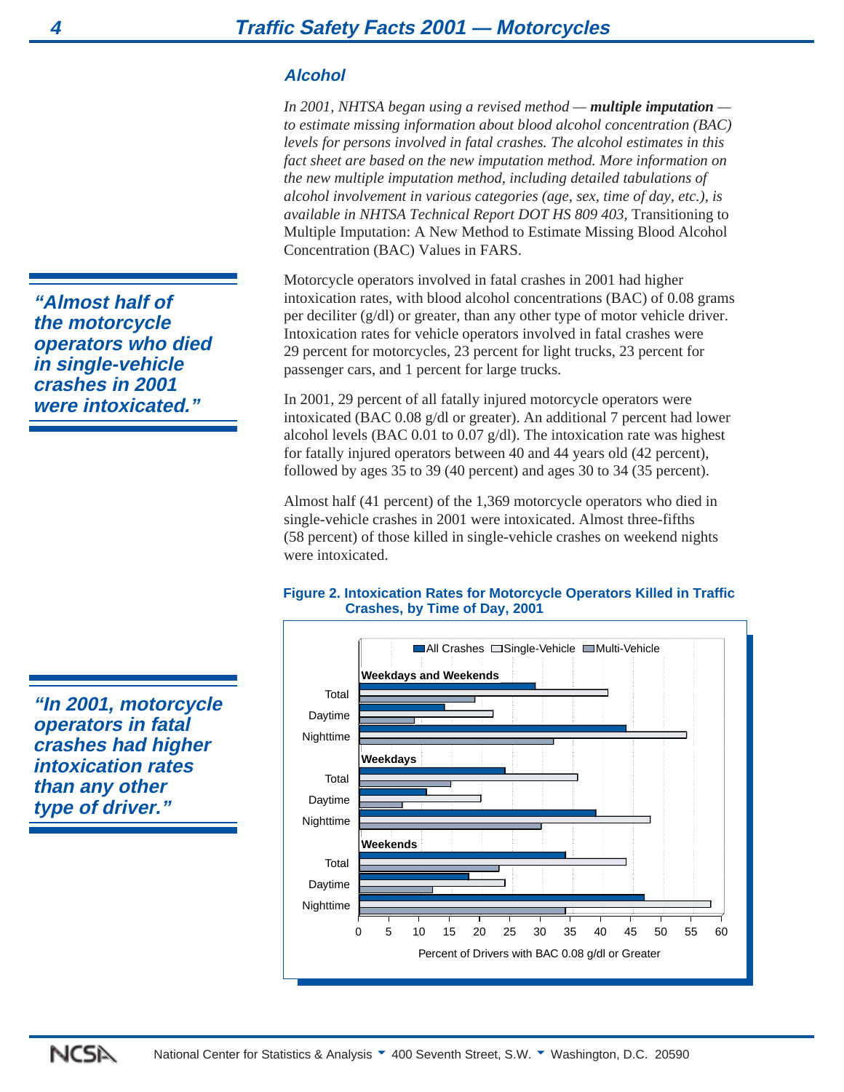# **Alcohol**

*In 2001, NHTSA began using a revised method — multiple imputation to estimate missing information about blood alcohol concentration (BAC) levels for persons involved in fatal crashes. The alcohol estimates in this fact sheet are based on the new imputation method. More information on the new multiple imputation method, including detailed tabulations of alcohol involvement in various categories (age, sex, time of day, etc.), is available in NHTSA Technical Report DOT HS 809 403,* Transitioning to Multiple Imputation: A New Method to Estimate Missing Blood Alcohol Concentration (BAC) Values in FARS.

Motorcycle operators involved in fatal crashes in 2001 had higher intoxication rates, with blood alcohol concentrations (BAC) of 0.08 grams per deciliter (g/dl) or greater, than any other type of motor vehicle driver. Intoxication rates for vehicle operators involved in fatal crashes were 29 percent for motorcycles, 23 percent for light trucks, 23 percent for passenger cars, and 1 percent for large trucks.

In 2001, 29 percent of all fatally injured motorcycle operators were intoxicated (BAC 0.08 g/dl or greater). An additional 7 percent had lower alcohol levels (BAC 0.01 to 0.07 g/dl). The intoxication rate was highest for fatally injured operators between 40 and 44 years old (42 percent), followed by ages 35 to 39 (40 percent) and ages 30 to 34 (35 percent).

Almost half (41 percent) of the 1,369 motorcycle operators who died in single-vehicle crashes in 2001 were intoxicated. Almost three-fifths (58 percent) of those killed in single-vehicle crashes on weekend nights were intoxicated

## **Figure 2. Intoxication Rates for Motorcycle Operators Killed in Traffic Crashes, by Time of Day, 2001**



**"Almost half of the motorcycle operators who died in single-vehicle crashes in 2001 were intoxicated."**

**"In 2001, motorcycle operators in fatal crashes had higher intoxication rates than any other type of driver."**

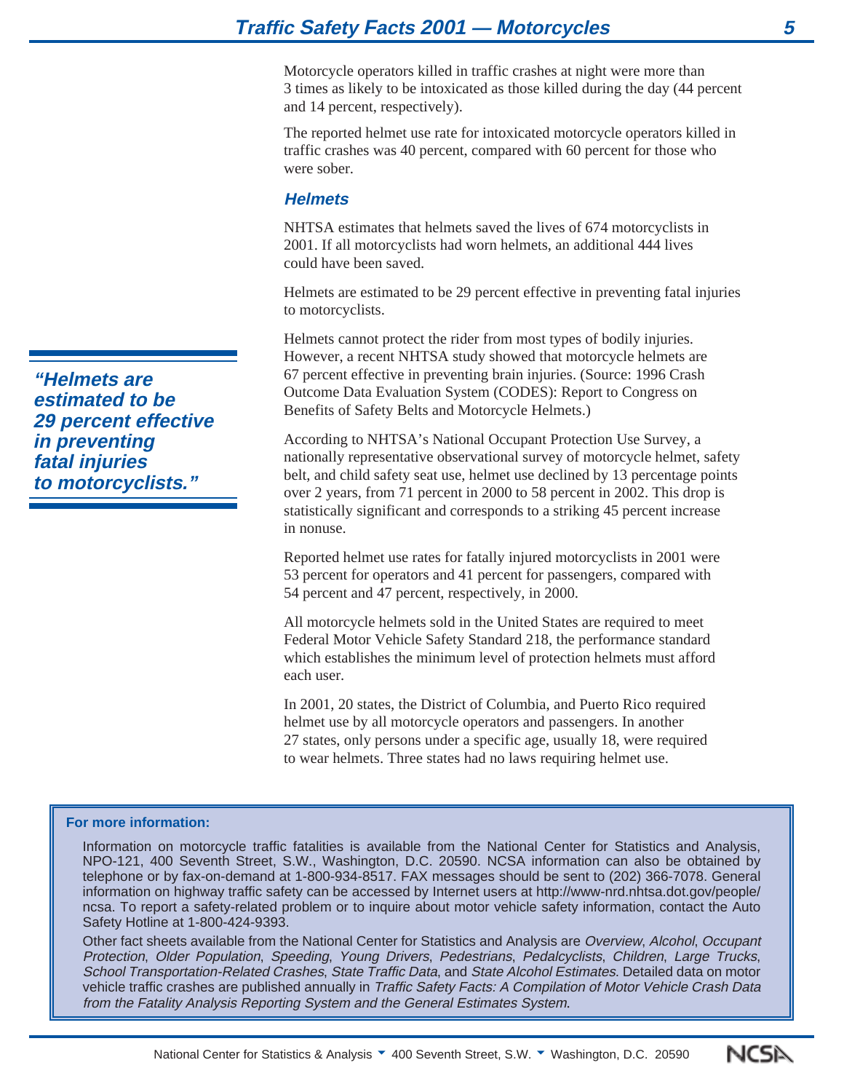Motorcycle operators killed in traffic crashes at night were more than 3 times as likely to be intoxicated as those killed during the day (44 percent and 14 percent, respectively).

The reported helmet use rate for intoxicated motorcycle operators killed in traffic crashes was 40 percent, compared with 60 percent for those who were sober.

# **Helmets**

NHTSA estimates that helmets saved the lives of 674 motorcyclists in 2001. If all motorcyclists had worn helmets, an additional 444 lives could have been saved.

Helmets are estimated to be 29 percent effective in preventing fatal injuries to motorcyclists.

Helmets cannot protect the rider from most types of bodily injuries. However, a recent NHTSA study showed that motorcycle helmets are 67 percent effective in preventing brain injuries. (Source: 1996 Crash Outcome Data Evaluation System (CODES): Report to Congress on Benefits of Safety Belts and Motorcycle Helmets.)

According to NHTSA's National Occupant Protection Use Survey, a nationally representative observational survey of motorcycle helmet, safety belt, and child safety seat use, helmet use declined by 13 percentage points over 2 years, from 71 percent in 2000 to 58 percent in 2002. This drop is statistically significant and corresponds to a striking 45 percent increase in nonuse.

Reported helmet use rates for fatally injured motorcyclists in 2001 were 53 percent for operators and 41 percent for passengers, compared with 54 percent and 47 percent, respectively, in 2000.

All motorcycle helmets sold in the United States are required to meet Federal Motor Vehicle Safety Standard 218, the performance standard which establishes the minimum level of protection helmets must afford each user.

In 2001, 20 states, the District of Columbia, and Puerto Rico required helmet use by all motorcycle operators and passengers. In another 27 states, only persons under a specific age, usually 18, were required to wear helmets. Three states had no laws requiring helmet use.

#### **For more information:**

Information on motorcycle traffic fatalities is available from the National Center for Statistics and Analysis, NPO-121, 400 Seventh Street, S.W., Washington, D.C. 20590. NCSA information can also be obtained by telephone or by fax-on-demand at 1-800-934-8517. FAX messages should be sent to (202) 366-7078. General information on highway traffic safety can be accessed by Internet users at http://www-nrd.nhtsa.dot.gov/people/ ncsa. To report a safety-related problem or to inquire about motor vehicle safety information, contact the Auto Safety Hotline at 1-800-424-9393.

Other fact sheets available from the National Center for Statistics and Analysis are Overview, Alcohol, Occupant Protection, Older Population, Speeding, Young Drivers, Pedestrians, Pedalcyclists, Children, Large Trucks, School Transportation-Related Crashes, State Traffic Data, and State Alcohol Estimates. Detailed data on motor vehicle traffic crashes are published annually in Traffic Safety Facts: A Compilation of Motor Vehicle Crash Data from the Fatality Analysis Reporting System and the General Estimates System.

**"Helmets are estimated to be 29 percent effective in preventing fatal injuries to motorcyclists."**